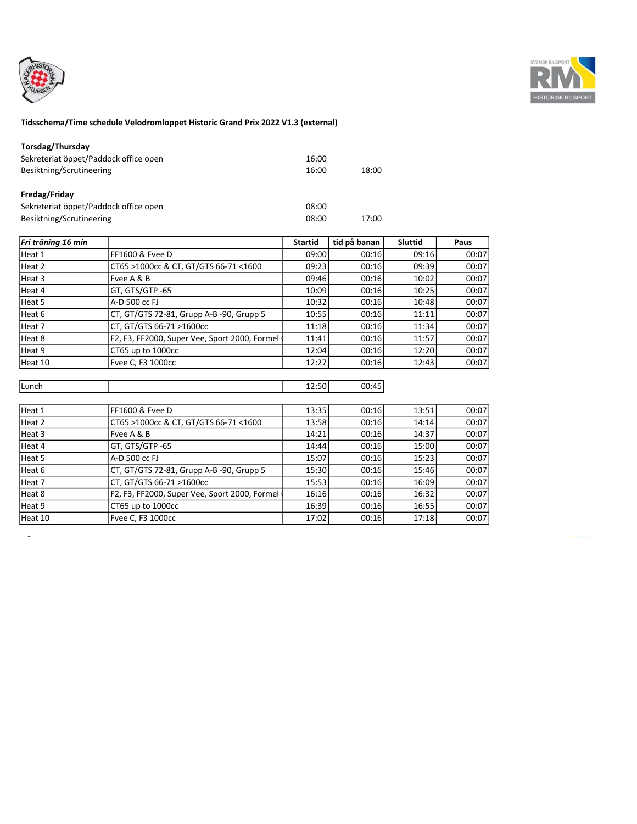



# Tidsschema/Time schedule Velodromloppet Historic Grand Prix 2022 V1.3 (external)

| Torsdag/Thursday                      |       |       |
|---------------------------------------|-------|-------|
| Sekreteriat öppet/Paddock office open | 16:00 |       |
| Besiktning/Scrutineering              | 16:00 | 18:00 |
| Fredag/Friday                         |       |       |
| Sekreteriat öppet/Paddock office open | 08:00 |       |
| Besiktning/Scrutineering              | 08:00 | 17:00 |

| Fri träning 16 min |                                               | <b>Startid</b> | tid på banan | <b>Sluttid</b> | Paus  |
|--------------------|-----------------------------------------------|----------------|--------------|----------------|-------|
| Heat 1             | <b>FF1600 &amp; Fvee D</b>                    | 09:00          | 00:16        | 09:16          | 00:07 |
| Heat 2             | CT65 >1000cc & CT, GT/GTS 66-71 <1600         | 09:23          | 00:16        | 09:39          | 00:07 |
| Heat 3             | Fvee A & B                                    | 09:46          | 00:16        | 10:02          | 00:07 |
| Heat 4             | GT, GTS/GTP-65                                | 10:09          | 00:16        | 10:25          | 00:07 |
| Heat 5             | A-D 500 cc FJ                                 | 10:32          | 00:16        | 10:48          | 00:07 |
| Heat 6             | CT, GT/GTS 72-81, Grupp A-B -90, Grupp 5      | 10:55          | 00:16        | 11:11          | 00:07 |
| Heat 7             | CT, GT/GTS 66-71 >1600cc                      | 11:18          | 00:16        | 11:34          | 00:07 |
| Heat 8             | F2, F3, FF2000, Super Vee, Sport 2000, Formel | 11:41          | 00:16        | 11:57          | 00:07 |
| Heat 9             | CT65 up to 1000cc                             | 12:04          | 00:16        | 12:20          | 00:07 |
| Heat 10            | Fvee C, F3 1000cc                             | 12:27          | 00:16        | 12:43          | 00:07 |
|                    |                                               |                |              |                |       |

|  | Lunch |  | $ \sim$<br>. הר<br>--- | 00:17<br>ں - |
|--|-------|--|------------------------|--------------|
|--|-------|--|------------------------|--------------|

| Heat 1  | FF1600 & Fvee D                               | 13:35 | 00:16 | 13:51 | 00:07 |
|---------|-----------------------------------------------|-------|-------|-------|-------|
| Heat 2  | CT65 >1000cc & CT, GT/GTS 66-71 <1600         | 13:58 | 00:16 | 14:14 | 00:07 |
| Heat 3  | Fvee A & B                                    | 14:21 | 00:16 | 14:37 | 00:07 |
| Heat 4  | GT, GTS/GTP-65                                | 14:44 | 00:16 | 15:00 | 00:07 |
| Heat 5  | A-D 500 cc FJ                                 | 15:07 | 00:16 | 15:23 | 00:07 |
| Heat 6  | CT, GT/GTS 72-81, Grupp A-B -90, Grupp 5      | 15:30 | 00:16 | 15:46 | 00:07 |
| Heat 7  | CT, GT/GTS 66-71 >1600cc                      | 15:53 | 00:16 | 16:09 | 00:07 |
| Heat 8  | F2, F3, FF2000, Super Vee, Sport 2000, Formel | 16:16 | 00:16 | 16:32 | 00:07 |
| Heat 9  | CT65 up to 1000cc                             | 16:39 | 00:16 | 16:55 | 00:07 |
| Heat 10 | Fvee C, F3 1000cc                             | 17:02 | 00:16 | 17:18 | 00:07 |

J.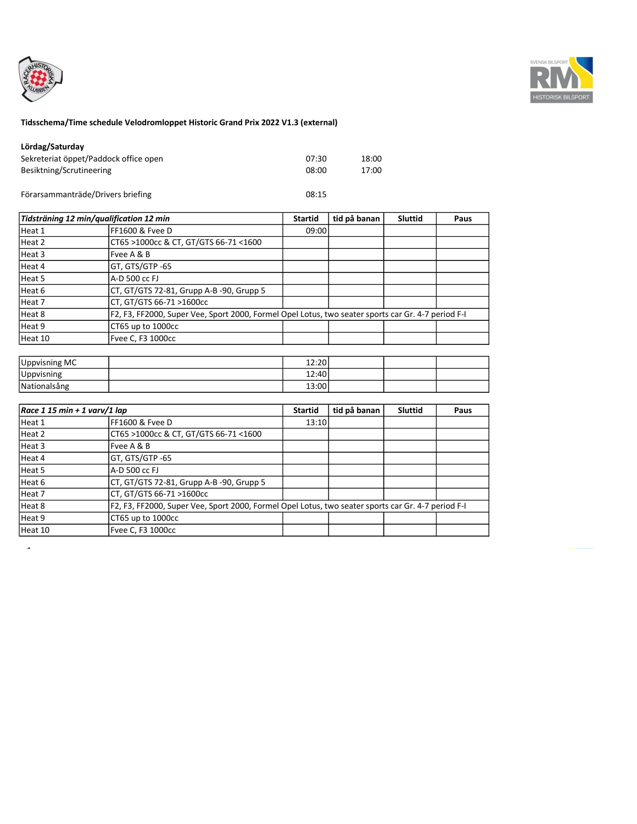



# Tidsschema/Time schedule Velodromloppet Historic Grand Prix 2022 V1.3 (external)

## Lördag/Saturday

 $\overline{a}$ 

| Sekreteriat öppet/Paddock office open | 07:30 | 18:00 |
|---------------------------------------|-------|-------|
| Besiktning/Scrutineering              | 08:00 | 17:00 |

Förarsammanträde/Drivers briefing 08:15

| Tidsträning 12 min/qualification 12 min |                                                                                                    | <b>Startid</b> | tid på banan | <b>Sluttid</b> | Paus |
|-----------------------------------------|----------------------------------------------------------------------------------------------------|----------------|--------------|----------------|------|
| Heat 1                                  | <b>FF1600 &amp; Fvee D</b>                                                                         | 09:00          |              |                |      |
| Heat 2                                  | CT65 >1000cc & CT, GT/GTS 66-71 <1600                                                              |                |              |                |      |
| Heat 3                                  | Fvee A & B                                                                                         |                |              |                |      |
| Heat 4                                  | GT, GTS/GTP-65                                                                                     |                |              |                |      |
| Heat 5                                  | A-D 500 cc FJ                                                                                      |                |              |                |      |
| Heat 6                                  | CT, GT/GTS 72-81, Grupp A-B -90, Grupp 5                                                           |                |              |                |      |
| Heat 7                                  | CT, GT/GTS 66-71 >1600cc                                                                           |                |              |                |      |
| Heat 8                                  | F2, F3, FF2000, Super Vee, Sport 2000, Formel Opel Lotus, two seater sports car Gr. 4-7 period F-I |                |              |                |      |
| Heat 9                                  | CT65 up to 1000cc                                                                                  |                |              |                |      |
| Heat 10                                 | Fvee C, F3 1000cc                                                                                  |                |              |                |      |

| Uppvisning MC                         | 12:20 |  |  |
|---------------------------------------|-------|--|--|
| <i><b>Uppvisning</b></i><br>אוווווכוי | 12:40 |  |  |
| l Nati<br>onalsång                    | 13:00 |  |  |

| Race 1 15 min + 1 varv/1 lap |                                                                                                    | <b>Startid</b> | tid på banan | Sluttid | Paus |
|------------------------------|----------------------------------------------------------------------------------------------------|----------------|--------------|---------|------|
| Heat 1                       | <b>FF1600 &amp; Fvee D</b>                                                                         | 13:10          |              |         |      |
| Heat 2                       | CT65 >1000cc & CT, GT/GTS 66-71 <1600                                                              |                |              |         |      |
| Heat 3                       | Fvee A & B                                                                                         |                |              |         |      |
| Heat 4                       | GT, GTS/GTP -65                                                                                    |                |              |         |      |
| Heat 5                       | A-D 500 cc FJ                                                                                      |                |              |         |      |
| Heat 6                       | CT, GT/GTS 72-81, Grupp A-B -90, Grupp 5                                                           |                |              |         |      |
| Heat 7                       | CT, GT/GTS 66-71 >1600cc                                                                           |                |              |         |      |
| Heat 8                       | F2, F3, FF2000, Super Vee, Sport 2000, Formel Opel Lotus, two seater sports car Gr. 4-7 period F-I |                |              |         |      |
| Heat 9                       | CT65 up to 1000cc                                                                                  |                |              |         |      |
| Heat 10                      | Fvee C, F3 1000cc                                                                                  |                |              |         |      |